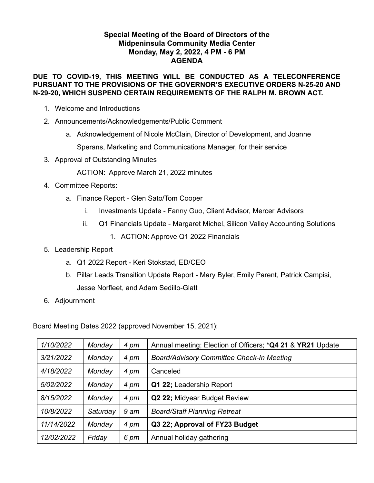## **Special Meeting of the Board of Directors of the Midpeninsula Community Media Center Monday, May 2, 2022, 4 PM - 6 PM AGENDA**

### **DUE TO COVID-19, THIS MEETING WILL BE CONDUCTED AS A TELECONFERENCE PURSUANT TO THE PROVISIONS OF THE GOVERNOR'S EXECUTIVE ORDERS N-25-20 AND N-29-20, WHICH SUSPEND CERTAIN REQUIREMENTS OF THE RALPH M. BROWN ACT.**

- 1. Welcome and Introductions
- 2. Announcements/Acknowledgements/Public Comment
	- a. Acknowledgement of Nicole McClain, Director of Development, and Joanne

Sperans, Marketing and Communications Manager, for their service

3. Approval of Outstanding Minutes

ACTION: Approve March 21, 2022 minutes

- 4. Committee Reports:
	- a. Finance Report Glen Sato/Tom Cooper
		- i. Investments Update Fanny Guo, Client Advisor, Mercer Advisors
		- ii. Q1 Financials Update Margaret Michel, Silicon Valley Accounting Solutions
			- 1. ACTION: Approve Q1 2022 Financials
- 5. Leadership Report
	- a. Q1 2022 Report Keri Stokstad, ED/CEO
	- b. Pillar Leads Transition Update Report Mary Byler, Emily Parent, Patrick Campisi, Jesse Norfleet, and Adam Sedillo-Glatt
- 6. Adjournment

Board Meeting Dates 2022 (approved November 15, 2021):

| 1/10/2022  | Monday   | 4 pm | Annual meeting; Election of Officers; *Q4 21 & YR21 Update |
|------------|----------|------|------------------------------------------------------------|
| 3/21/2022  | Monday   | 4 pm | <b>Board/Advisory Committee Check-In Meeting</b>           |
| 4/18/2022  | Monday   | 4 pm | Canceled                                                   |
| 5/02/2022  | Monday   | 4 pm | Q1 22; Leadership Report                                   |
| 8/15/2022  | Monday   | 4 pm | Q2 22; Midyear Budget Review                               |
| 10/8/2022  | Saturday | 9 am | <b>Board/Staff Planning Retreat</b>                        |
| 11/14/2022 | Monday   | 4 pm | Q3 22; Approval of FY23 Budget                             |
| 12/02/2022 | Friday   | 6 pm | Annual holiday gathering                                   |